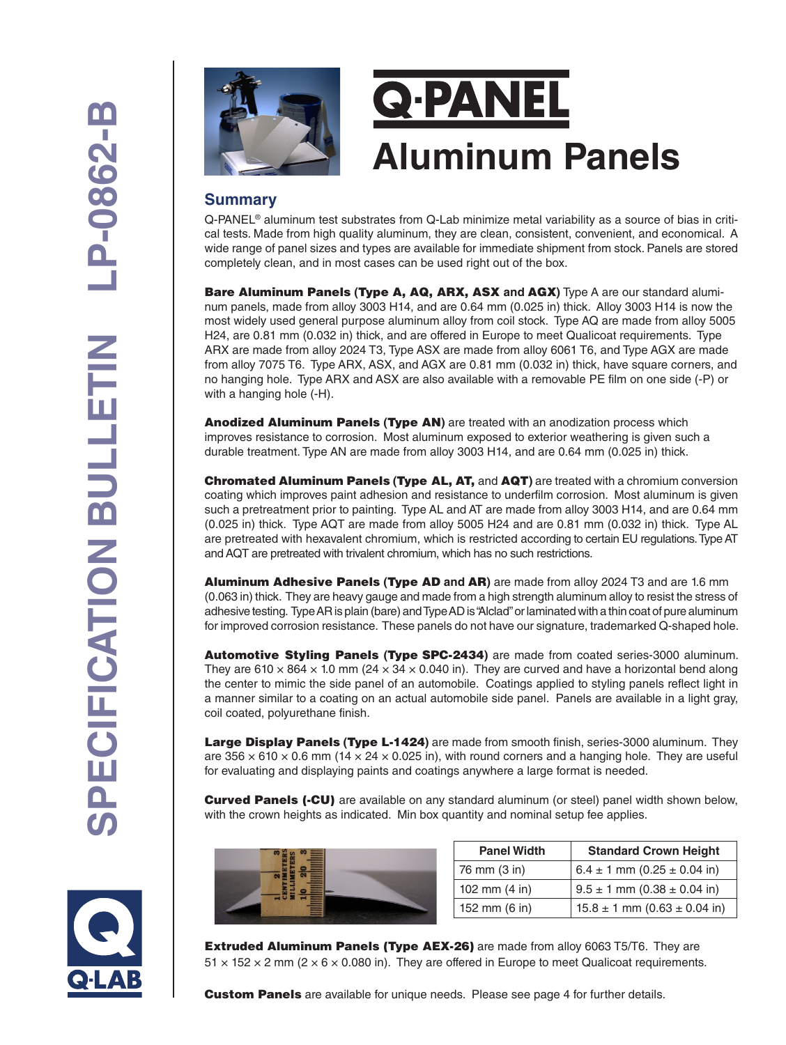



#### **Summary**

Q-PANEL® aluminum test substrates from Q-Lab minimize metal variability as a source of bias in critical tests. Made from high quality aluminum, they are clean, consistent, convenient, and economical. A wide range of panel sizes and types are available for immediate shipment from stock. Panels are stored completely clean, and in most cases can be used right out of the box.

Bare Aluminum Panels **(**Type A, AQ, ARX, ASX **and** AGX**)** Type A are our standard aluminum panels, made from alloy 3003 H14, and are 0.64 mm (0.025 in) thick. Alloy 3003 H14 is now the most widely used general purpose aluminum alloy from coil stock. Type AQ are made from alloy 5005 H24, are 0.81 mm (0.032 in) thick, and are offered in Europe to meet Qualicoat requirements. Type ARX are made from alloy 2024 T3, Type ASX are made from alloy 6061 T6, and Type AGX are made from alloy 7075 T6. Type ARX, ASX, and AGX are 0.81 mm (0.032 in) thick, have square corners, and no hanging hole. Type ARX and ASX are also available with a removable PE film on one side (-P) or with a hanging hole (-H).

Anodized Aluminum Panels **(**Type AN**)** are treated with an anodization process which improves resistance to corrosion. Most aluminum exposed to exterior weathering is given such a durable treatment. Type AN are made from alloy 3003 H14, and are 0.64 mm (0.025 in) thick.

Chromated Aluminum Panels **(**Type AL, AT, and AQT**)** are treated with a chromium conversion coating which improves paint adhesion and resistance to underfilm corrosion. Most aluminum is given such a pretreatment prior to painting. Type AL and AT are made from alloy 3003 H14, and are 0.64 mm (0.025 in) thick. Type AQT are made from alloy 5005 H24 and are 0.81 mm (0.032 in) thick. Type AL are pretreated with hexavalent chromium, which is restricted according to certain EU regulations. Type AT and AQT are pretreated with trivalent chromium, which has no such restrictions.

Aluminum Adhesive Panels **(**Type AD **and** AR**)** are made from alloy 2024 T3 and are 1.6 mm (0.063 in) thick. They are heavy gauge and made from a high strength aluminum alloy to resist the stress of adhesive testing. Type AR is plain (bare) and Type AD is "Alclad" or laminated with a thin coat of pure aluminum for improved corrosion resistance. These panels do not have our signature, trademarked Q-shaped hole.

Automotive Styling Panels **(**Type SPC-2434**)** are made from coated series-3000 aluminum. They are 610  $\times$  864  $\times$  1.0 mm (24  $\times$  34  $\times$  0.040 in). They are curved and have a horizontal bend along the center to mimic the side panel of an automobile. Coatings applied to styling panels reflect light in a manner similar to a coating on an actual automobile side panel. Panels are available in a light gray, coil coated, polyurethane finish.

Large Display Panels **(**Type L-1424**)** are made from smooth finish, series-3000 aluminum. They are  $356 \times 610 \times 0.6$  mm ( $14 \times 24 \times 0.025$  in), with round corners and a hanging hole. They are useful for evaluating and displaying paints and coatings anywhere a large format is needed.

**Curved Panels (-CU)** are available on any standard aluminum (or steel) panel width shown below, with the crown heights as indicated. Min box quantity and nominal setup fee applies.

| <b>Panel Width</b>      | <b>Standard Crown Height</b>         |  |  |  |  |
|-------------------------|--------------------------------------|--|--|--|--|
| 76 mm (3 in)            | $6.4 \pm 1$ mm $(0.25 \pm 0.04$ in)  |  |  |  |  |
| 102 mm $(4 \text{ in})$ | $9.5 \pm 1$ mm $(0.38 \pm 0.04$ in)  |  |  |  |  |
| 152 mm $(6 \text{ in})$ | $15.8 \pm 1$ mm $(0.63 \pm 0.04$ in) |  |  |  |  |

Extruded Aluminum Panels (Type AEX-26) are made from alloy 6063 T5/T6. They are  $51 \times 152 \times 2$  mm ( $2 \times 6 \times 0.080$  in). They are offered in Europe to meet Qualicoat requirements.

**Custom Panels** are available for unique needs. Please see page 4 for further details.

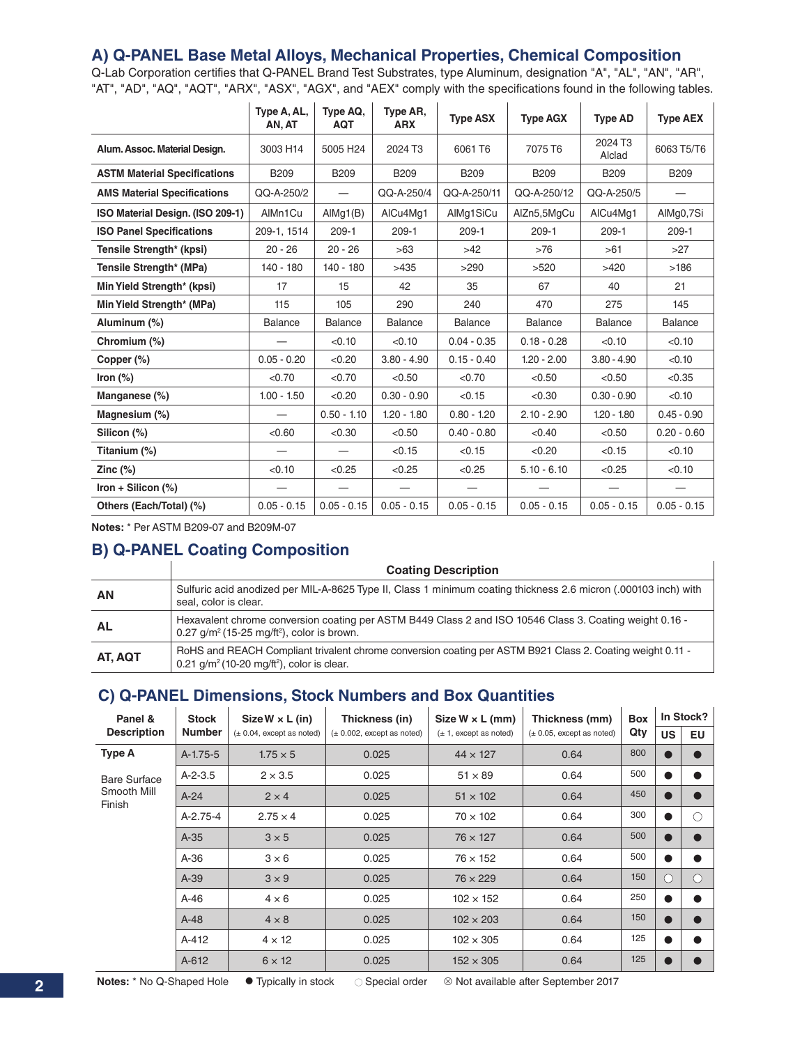#### **A) Q-PANEL Base Metal Alloys, Mechanical Properties, Chemical Composition**

Q-Lab Corporation certifies that Q-PANEL Brand Test Substrates, type Aluminum, designation "A", "AL", "AN", "AR", "AT", "AD", "AQ", "AQT", "ARX", "ASX", "AGX", and "AEX" comply with the specifications found in the following tables.

|                                     | Type A, AL,<br>AN, AT | Type AQ,<br><b>AQT</b>   | Type AR,<br><b>ARX</b> | <b>Type ASX</b> | <b>Type AGX</b> | <b>Type AD</b>    | <b>Type AEX</b> |
|-------------------------------------|-----------------------|--------------------------|------------------------|-----------------|-----------------|-------------------|-----------------|
| Alum. Assoc. Material Design.       | 3003 H14              | 5005 H24                 | 2024 T3                | 6061 T6         | 7075 T6         | 2024 T3<br>Alclad | 6063 T5/T6      |
| <b>ASTM Material Specifications</b> | <b>B209</b>           | <b>B209</b>              | <b>B209</b>            | <b>B209</b>     | <b>B209</b>     | <b>B209</b>       | <b>B209</b>     |
| <b>AMS Material Specifications</b>  | QQ-A-250/2            | $\overline{\phantom{0}}$ | QQ-A-250/4             | QQ-A-250/11     | QQ-A-250/12     | QQ-A-250/5        | —               |
| ISO Material Design. (ISO 209-1)    | AlMn1Cu               | AlMg1(B)                 | AlCu4Mq1               | AlMg1SiCu       | AlZn5,5MgCu     | AlCu4Ma1          | AlMg0,7Si       |
| <b>ISO Panel Specifications</b>     | 209-1, 1514           | $209-1$                  | $209-1$                | $209-1$         | $209-1$         | $209-1$           | $209-1$         |
| Tensile Strength* (kpsi)            | $20 - 26$             | $20 - 26$                | >63                    | $>42$           | >76             | >61               | >27             |
| Tensile Strength* (MPa)             | $140 - 180$           | $140 - 180$              | >435                   | >290            | >520            | >420              | >186            |
| Min Yield Strength* (kpsi)          | 17                    | 15                       | 42                     | 35              | 67              | 40                | 21              |
| Min Yield Strength* (MPa)           | 115                   | 105                      | 290                    | 240             | 470             | 275               | 145             |
| Aluminum (%)                        | <b>Balance</b>        | <b>Balance</b>           | <b>Balance</b>         | <b>Balance</b>  | <b>Balance</b>  | <b>Balance</b>    | <b>Balance</b>  |
| Chromium (%)                        |                       | < 0.10                   | < 0.10                 | $0.04 - 0.35$   | $0.18 - 0.28$   | < 0.10            | < 0.10          |
| Copper (%)                          | $0.05 - 0.20$         | < 0.20                   | $3.80 - 4.90$          | $0.15 - 0.40$   | $1.20 - 2.00$   | $3.80 - 4.90$     | < 0.10          |
| Iron $(\%)$                         | < 0.70                | < 0.70                   | < 0.50                 | < 0.70          | < 0.50          | < 0.50            | < 0.35          |
| Manganese (%)                       | $1.00 - 1.50$         | < 0.20                   | $0.30 - 0.90$          | < 0.15          | < 0.30          | $0.30 - 0.90$     | < 0.10          |
| Magnesium (%)                       |                       | $0.50 - 1.10$            | $1.20 - 1.80$          | $0.80 - 1.20$   | $2.10 - 2.90$   | $1.20 - 1.80$     | $0.45 - 0.90$   |
| Silicon (%)                         | < 0.60                | < 0.30                   | < 0.50                 | $0.40 - 0.80$   | < 0.40          | < 0.50            | $0.20 - 0.60$   |
| Titanium (%)                        |                       |                          | < 0.15                 | < 0.15          | < 0.20          | < 0.15            | < 0.10          |
| Zinc $(\%)$                         | < 0.10                | < 0.25                   | < 0.25                 | < 0.25          | $5.10 - 6.10$   | < 0.25            | < 0.10          |
| Iron + Silicon $(\%)$               |                       |                          |                        |                 |                 |                   |                 |
| Others (Each/Total) (%)             | $0.05 - 0.15$         | $0.05 - 0.15$            | $0.05 - 0.15$          | $0.05 - 0.15$   | $0.05 - 0.15$   | $0.05 - 0.15$     | $0.05 - 0.15$   |

**Notes:** \* Per ASTM B209-07 and B209M-07

# **B) Q-PANEL Coating Composition**

|           | <b>Coating Description</b>                                                                                                                                             |
|-----------|------------------------------------------------------------------------------------------------------------------------------------------------------------------------|
| <b>AN</b> | Sulfuric acid anodized per MIL-A-8625 Type II, Class 1 minimum coating thickness 2.6 micron (.000103 inch) with<br>seal, color is clear.                               |
| <b>AL</b> | Hexavalent chrome conversion coating per ASTM B449 Class 2 and ISO 10546 Class 3. Coating weight 0.16 -<br>0.27 $q/m^2$ (15-25 mg/ft <sup>2</sup> ), color is brown.   |
| AT, AQT   | RoHS and REACH Compliant trivalent chrome conversion coating per ASTM B921 Class 2. Coating weight 0.11 -<br>0.21 $g/m^2$ (10-20 mg/ft <sup>2</sup> ), color is clear. |

#### **C) Q-PANEL Dimensions, Stock Numbers and Box Quantities**

| Panel &               | <b>Stock</b><br>$Size W \times L (in)$ |                                      | Thickness (in)                 | Size $W \times L$ (mm)            | Thickness (mm)                       | <b>Box</b> | In Stock? |            |
|-----------------------|----------------------------------------|--------------------------------------|--------------------------------|-----------------------------------|--------------------------------------|------------|-----------|------------|
| <b>Description</b>    | <b>Number</b>                          | $(\pm 0.04, \text{except as noted})$ | $(\pm 0.002,$ except as noted) | $(\pm 1, \text{except as noted})$ | $(\pm 0.05, \text{except as noted})$ | Qty        | <b>US</b> | EU         |
| <b>Type A</b>         | $A-1.75-5$                             | $1.75 \times 5$                      | 0.025                          | $44 \times 127$                   | 0.64                                 | 800        |           |            |
| <b>Bare Surface</b>   | $A-2-3.5$                              | $2 \times 3.5$                       | 0.025                          | $51 \times 89$                    | 0.64                                 | 500        |           |            |
| Smooth Mill<br>Finish | $A-24$                                 | $2 \times 4$                         | 0.025                          | $51 \times 102$                   | 0.64                                 | 450        |           |            |
|                       | $A-2.75-4$                             | $2.75 \times 4$                      | 0.025                          | $70 \times 102$                   | 0.64                                 | 300        |           | С          |
|                       | $A-35$                                 | $3 \times 5$                         | 0.025                          | $76 \times 127$                   | 0.64                                 | 500        |           |            |
|                       | $A-36$                                 | $3 \times 6$                         | 0.025                          | $76 \times 152$                   | 0.64                                 | 500        | D         | 0          |
|                       | $A-39$                                 | $3 \times 9$                         | 0.025                          | $76 \times 229$                   | 0.64                                 | 150        | О         | $\bigcirc$ |
|                       | $A-46$                                 | $4 \times 6$                         | 0.025                          | $102 \times 152$                  | 0.64                                 | 250        | D         |            |
|                       | $A-48$                                 | $4 \times 8$                         | 0.025                          | $102 \times 203$                  | 0.64                                 | 150        | D         |            |
|                       | $A-412$                                | $4 \times 12$                        | 0.025                          | $102 \times 305$                  | 0.64                                 | 125        |           |            |
|                       | A-612                                  | $6 \times 12$                        | 0.025                          | $152 \times 305$                  | 0.64                                 | 125        |           |            |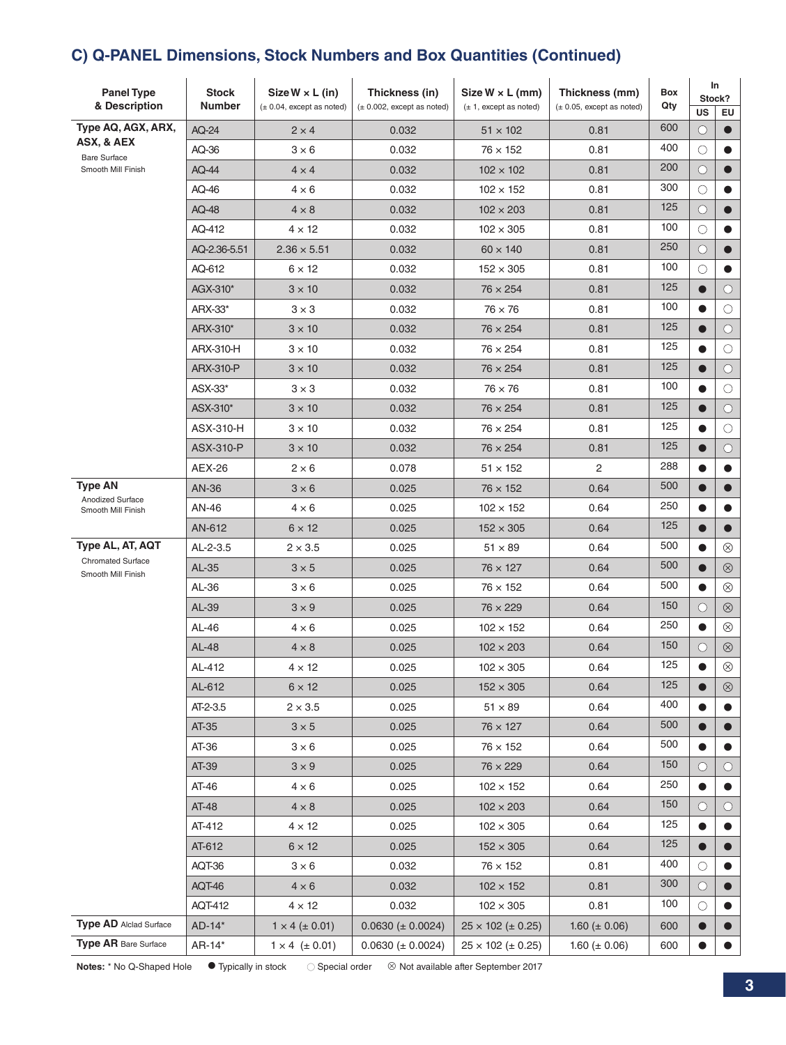# **C) Q-PANEL Dimensions, Stock Numbers and Box Quantities (Continued)**

| <b>Panel Type</b><br>& Description                       | <b>Stock</b><br>Number | $Size W \times L (in)$<br>$(\pm 0.04,$ except as noted) | Thickness (in)<br>$(\pm 0.002,$ except as noted) | Size $W \times L$ (mm)<br>$(\pm 1, \text{except as noted})$ | Thickness (mm)<br>$(\pm 0.05, \text{except as noted})$ | <b>Box</b><br>Qty | In<br>Stock?<br>US<br>EU |                |
|----------------------------------------------------------|------------------------|---------------------------------------------------------|--------------------------------------------------|-------------------------------------------------------------|--------------------------------------------------------|-------------------|--------------------------|----------------|
| Type AQ, AGX, ARX,                                       | AQ-24                  | $2 \times 4$                                            | 0.032                                            | $51 \times 102$                                             | 0.81                                                   | 600               | $\bigcirc$               |                |
| ASX, & AEX<br><b>Bare Surface</b>                        | AQ-36                  | $3 \times 6$                                            | 0.032                                            | $76 \times 152$                                             | 0.81                                                   | 400               | $\bigcirc$               |                |
| Smooth Mill Finish                                       | AQ-44                  | $4 \times 4$                                            | 0.032                                            | $102 \times 102$                                            | 0.81                                                   | 200               | $\circlearrowright$      |                |
|                                                          | AQ-46                  | $4 \times 6$                                            | 0.032                                            | $102 \times 152$                                            | 0.81                                                   | 300               | $\bigcirc$               |                |
|                                                          | AQ-48                  | $4 \times 8$                                            | 0.032                                            | $102 \times 203$                                            | 0.81                                                   | 125               | $\circ$                  |                |
|                                                          | AQ-412                 | $4 \times 12$                                           | 0.032                                            | $102 \times 305$                                            | 0.81                                                   | 100               | $\bigcirc$               |                |
|                                                          | AQ-2.36-5.51           | $2.36 \times 5.51$                                      | 0.032                                            | $60 \times 140$                                             | 0.81                                                   | 250               | $\circlearrowright$      |                |
|                                                          | AQ-612                 | $6 \times 12$                                           | 0.032                                            | $152 \times 305$                                            | 0.81                                                   | 100               | О                        |                |
|                                                          | AGX-310*               | $3 \times 10$                                           | 0.032                                            | $76 \times 254$                                             | 0.81                                                   | 125               | $\bullet$                | О              |
|                                                          | ARX-33*                | $3 \times 3$                                            | 0.032                                            | $76 \times 76$                                              | 0.81                                                   | 100               | $\bullet$                | О              |
|                                                          | ARX-310*               | $3 \times 10$                                           | 0.032                                            | $76 \times 254$                                             | 0.81                                                   | 125               | $\bullet$                | О              |
|                                                          | ARX-310-H              | $3 \times 10$                                           | 0.032                                            | $76 \times 254$                                             | 0.81                                                   | 125               |                          | O              |
|                                                          | ARX-310-P              | $3 \times 10$                                           | 0.032                                            | $76 \times 254$                                             | 0.81                                                   | 125               | $\bullet$                | О              |
|                                                          | ASX-33*                | $3 \times 3$                                            | 0.032                                            | $76 \times 76$                                              | 0.81                                                   | 100               | 0                        | О              |
|                                                          | ASX-310*               | $3 \times 10$                                           | 0.032                                            | $76 \times 254$                                             | 0.81                                                   | 125               | $\bullet$                | О              |
|                                                          | ASX-310-H              | $3 \times 10$                                           | 0.032                                            | $76 \times 254$                                             | 0.81                                                   | 125               |                          | O              |
|                                                          | <b>ASX-310-P</b>       | $3 \times 10$                                           | 0.032                                            | $76 \times 254$                                             | 0.81                                                   | 125               | $\bullet$                | $\circ$        |
|                                                          | AEX-26                 | $2 \times 6$                                            | 0.078                                            | $51 \times 152$                                             | 2                                                      | 288               |                          |                |
| <b>Type AN</b><br>Anodized Surface<br>Smooth Mill Finish | AN-36                  | $3 \times 6$                                            | 0.025                                            | $76 \times 152$                                             | 0.64                                                   | 500               | $\bullet$                |                |
|                                                          | AN-46                  | $4 \times 6$                                            | 0.025                                            | $102 \times 152$                                            | 0.64                                                   | 250               |                          |                |
|                                                          | AN-612                 | $6 \times 12$                                           | 0.025                                            | $152 \times 305$                                            | 0.64                                                   | 125               | $\bullet$                |                |
| Type AL, AT, AQT                                         | AL-2-3.5               | $2 \times 3.5$                                          | 0.025                                            | $51 \times 89$                                              | 0.64                                                   | 500               | 0                        | $^{\circledR}$ |
| <b>Chromated Surface</b><br>Smooth Mill Finish           | AL-35                  | $3 \times 5$                                            | 0.025                                            | $76 \times 127$                                             | 0.64                                                   | 500               | $\bullet$                | $\circledR$    |
|                                                          | AL-36                  | $3 \times 6$                                            | 0.025                                            | $76 \times 152$                                             | 0.64                                                   | 500               |                          | $\otimes$      |
|                                                          | AL-39                  | $3 \times 9$                                            | 0.025                                            | $76 \times 229$                                             | 0.64                                                   | 150               | $\bigcirc$               | $\circledR$    |
|                                                          | AL-46                  | $4 \times 6$                                            | 0.025                                            | $102 \times 152$                                            | 0.64                                                   | 250               | $\bullet$                | $^{\circledR}$ |
|                                                          | AL-48                  | $4 \times 8$                                            | 0.025                                            | $102 \times 203$                                            | 0.64                                                   | 150               | $\bigcirc$               | $\otimes$      |
|                                                          | AL-412                 | $4 \times 12$                                           | 0.025                                            | $102 \times 305$                                            | 0.64                                                   | 125               | $\bullet$                | $\otimes$      |
|                                                          | AL-612                 | $6\times12$                                             | 0.025                                            | $152 \times 305$                                            | 0.64                                                   | 125               | $\bullet$                | $\otimes$      |
|                                                          | AT-2-3.5               | $2 \times 3.5$                                          | 0.025                                            | $51 \times 89$                                              | 0.64                                                   | 400               | $\bullet$                |                |
|                                                          | AT-35                  | $3 \times 5$                                            | 0.025                                            | $76 \times 127$                                             | 0.64                                                   | 500               | 0                        |                |
|                                                          | AT-36                  | $3 \times 6$                                            | 0.025                                            | $76 \times 152$                                             | 0.64                                                   | 500               | ●                        |                |
|                                                          | AT-39                  | $3 \times 9$                                            | 0.025                                            | $76 \times 229$                                             | 0.64                                                   | 150               | $\circ$                  | $\circ$        |
|                                                          | AT-46                  | $4 \times 6$                                            | 0.025                                            | $102 \times 152$                                            | 0.64                                                   | 250               | $\bullet$                |                |
|                                                          | AT-48                  | $4 \times 8$                                            | 0.025                                            | $102 \times 203$                                            | 0.64                                                   | 150               | $\bigcirc$               | $\circ$        |
|                                                          | AT-412                 | $4 \times 12$                                           | 0.025                                            | $102 \times 305$                                            | 0.64                                                   | 125               | $\bullet$                |                |
|                                                          | AT-612                 | $6 \times 12$                                           | 0.025                                            | $152 \times 305$                                            | 0.64                                                   | 125               | $\bullet$                |                |
|                                                          | AQT-36                 | $3 \times 6$                                            | 0.032                                            | $76 \times 152$                                             | 0.81                                                   | 400               | О                        |                |
|                                                          | AQT-46                 | $4 \times 6$                                            | 0.032                                            | $102 \times 152$                                            | 0.81                                                   | 300               | $\bigcirc$               |                |
|                                                          | <b>AQT-412</b>         | $4 \times 12$                                           | 0.032                                            | $102 \times 305$                                            | 0.81                                                   | 100               | $\bigcirc$               |                |
| <b>Type AD</b> Alclad Surface                            | AD-14*                 | $1 \times 4 (\pm 0.01)$                                 | $0.0630 \ (\pm 0.0024)$                          | $25 \times 102 (\pm 0.25)$                                  | 1.60 ( $\pm$ 0.06)                                     | 600               | $\bullet$                |                |
| <b>Type AR</b> Bare Surface                              | AR-14*                 | $1 \times 4$ (± 0.01)                                   | $0.0630 (\pm 0.0024)$                            | $25 \times 102 (\pm 0.25)$                                  | 1.60 ( $\pm$ 0.06)                                     | 600               | $\bullet$                |                |

Notes: \* No Q-Shaped Hole  $\bullet$  Typically in stock  $\circ$  Special order  $\circ$  Not available after September 2017